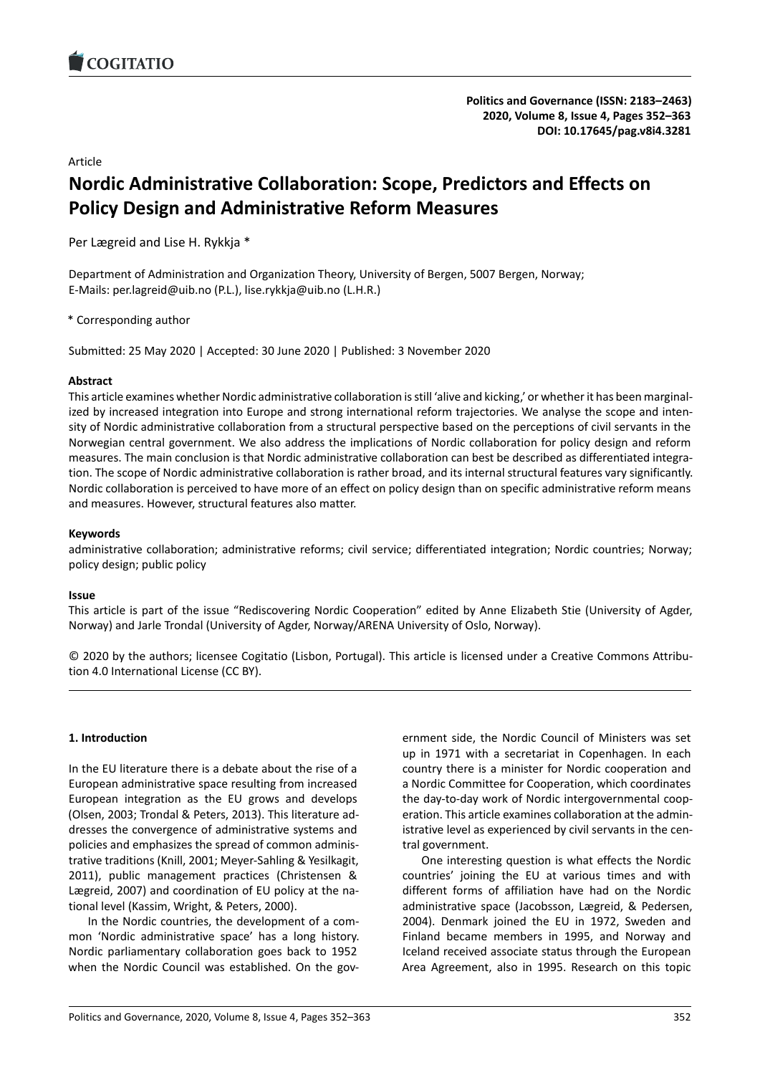<span id="page-0-0"></span>

**[Politics and Governance](https://www.cogitatiopress.com/politicsandgovernance) (ISSN: 2183–2463) 2020, Volume 8, Issue 4, Pages 352–363 DOI: [10.17645/pag.v8i4.3281](https://doi.org/10.17645/pag.v8i4.3281)**

Article

# **Nordic Administrative Collaboration: Scope, Predictors and Effects on Policy Design and Administrative Reform Measures**

Per Lægreid and Lise H. Rykkja \*

Department of Administration and Organization Theory, University of Bergen, 5007 Bergen, Norway; E-Mails: per.lagreid@uib.no (P.L.), lise.rykkja@uib.no (L.H.R.)

\* Corresponding author

Submitted: 25 May 2020 | Accepted: 30 June 2020 | Published: 3 November 2020

## **Abstract**

This article examines whether Nordic administrative collaboration is still 'alive and kicking,' or whether it has been marginalized by increased integration into Europe and strong international reform trajectories. We analyse the scope and intensity of Nordic administrative collaboration from a structural perspective based on the perceptions of civil servants in the Norwegian central government. We also address the implications of Nordic collaboration for policy design and reform measures. The main conclusion is that Nordic administrative collaboration can best be described as differentiated integration. The scope of Nordic administrative collaboration is rather broad, and its internal structural features vary significantly. Nordic collaboration is perceived to have more of an effect on policy design than on specific administrative reform means and measures. However, structural features also matter.

## **Keywords**

administrative collaboration; administrative reforms; civil service; differentiated integration; Nordic countries; Norway; policy design; public policy

## **Issue**

This article is part of the issue "Rediscovering Nordic Cooperation" edited by Anne Elizabeth Stie (University of Agder, Norway) and Jarle Trondal (University of Agder, Norway/ARENA University of Oslo, Norway).

© 2020 by the authors; licensee Cogitatio (Lisbon, Portugal). This article is licensed under a Creative Commons Attribution 4.0 International License (CC BY).

## **1. Introduction**

In the EU literature there is a debate about the rise of a European administrative space resulting from increased European integration as the EU grows and develops (Olsen, 2003; Trondal & Peters, 2013). This literature addresses the convergence of administrative systems and policies and emphasizes the spread of common administrative traditions (Knill, 2001; Meyer-Sahling & Yesilkagit, 2011), public management practices (Christensen & Lægreid, 2007) and coordination of EU policy at the national level (Kassim, Wright, & Peters, 2000).

In the Nordic countries, the development of a common 'Nordic administrative space' has a long history. Nordic parliamentary collaboration goes back to 1952 when the Nordic Council was established. On the gov-

ernment side, the Nordic Council of Ministers was set up in 1971 with a secretariat in Copenhagen. In each country there is a minister for Nordic cooperation and a Nordic Committee for Cooperation, which coordinates the day-to-day work of Nordic intergovernmental cooperation. This article examines collaboration at the administrative level as experienced by civil servants in the central government.

One interesting question is what effects the Nordic countries' joining the EU at various times and with different forms of affiliation have had on the Nordic administrative space (Jacobsson, Lægreid, & Pedersen, 2004). Denmark joined the EU in 1972, Sweden and Finland became members in 1995, and Norway and Iceland received associate status through the European Area Agreement, also in 1995. Research on this topic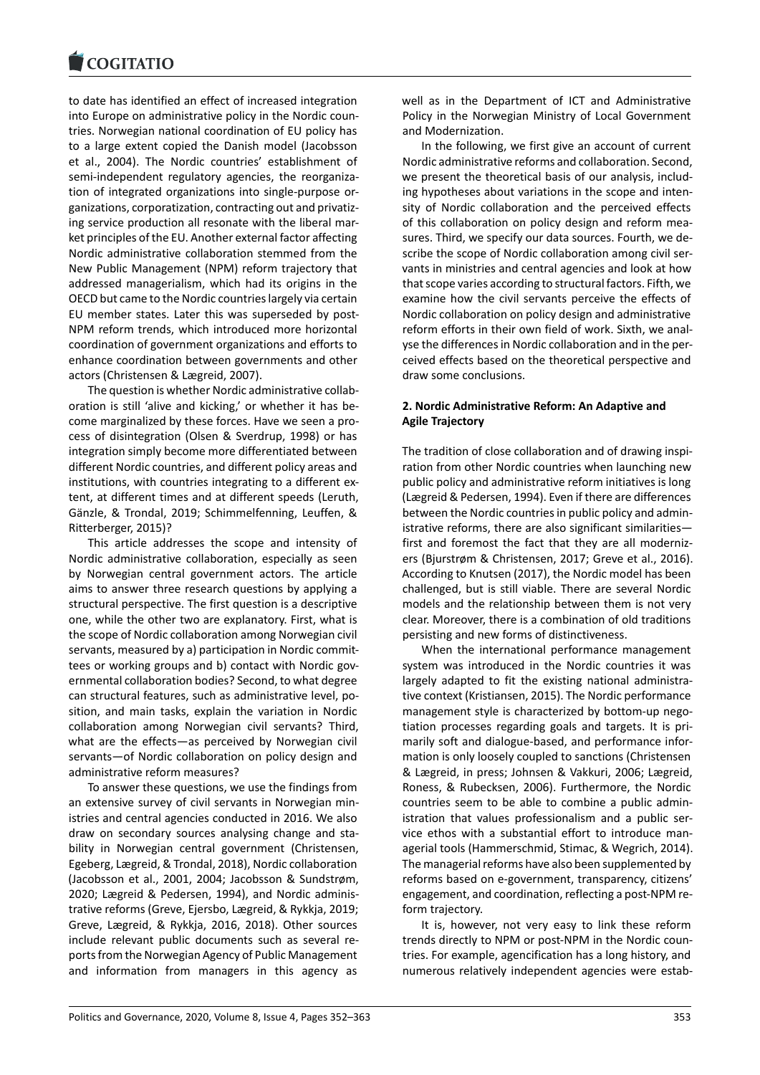to date has identified an effect of increased integration into Europe on administrative policy in the Nordic countries. Norwegian national coordination of EU policy has to a large extent copied the Danish model (Jacobsson et al., 2004). The Nordic countries' establishment of semi-independent regulatory agencies, the reorganization of integrated organizations into single-purpose organizations, corporatization, contracting out and privatizing service production all resonate with the liberal market principles of the EU. Another external factor affecting Nordic administrative collaboration stemmed from the New Public Management (NPM) reform trajectory that addressed managerialism, which had its origins in the OECD but came to the Nordic countries largely via certain EU member states. Later this was superseded by post-NPM reform trends, which introduced more horizontal coordination of government organizations and efforts to enhance coordination between governments and other actors (Christensen & Lægreid, 2007).

The question is whether Nordic administrative collaboration is still 'alive and kicking,' or whether it has become marginalized by these forces. Have we seen a process of disintegration (Olsen & Sverdrup, 1998) or has integration simply become more differentiated between different Nordic countries, and different policy areas and institutions, with countries integrating to a different extent, at different times and at different speeds (Leruth, Gӓnzle, & Trondal, 2019; Schimmelfenning, Leuffen, & Ritterberger, 2015)?

This article addresses the scope and intensity of Nordic administrative collaboration, especially as seen by Norwegian central government actors. The article aims to answer three research questions by applying a structural perspective. The first question is a descriptive one, while the other two are explanatory. First, what is the scope of Nordic collaboration among Norwegian civil servants, measured by a) participation in Nordic committees or working groups and b) contact with Nordic governmental collaboration bodies? Second, to what degree can structural features, such as administrative level, position, and main tasks, explain the variation in Nordic collaboration among Norwegian civil servants? Third, what are the effects—as perceived by Norwegian civil servants—of Nordic collaboration on policy design and administrative reform measures?

To answer these questions, we use the findings from an extensive survey of civil servants in Norwegian ministries and central agencies conducted in 2016. We also draw on secondary sources analysing change and stability in Norwegian central government (Christensen, Egeberg, Lægreid, & Trondal, 2018), Nordic collaboration (Jacobsson et al., 2001, 2004; Jacobsson & Sundstrøm, 2020; Lægreid & Pedersen, 1994), and Nordic administrative reforms (Greve, Ejersbo, Lægreid, & Rykkja, 2019; Greve, Lægreid, & Rykkja, 2016, 2018). Other sources include relevant public documents such as several reports from the Norwegian Agency of Public Management and information from managers in this agency as

well as in the Department of ICT and Administrative Policy in the Norwegian Ministry of Local Government and Modernization.

In the following, we first give an account of current Nordic administrative reforms and collaboration. Second, we present the theoretical basis of our analysis, including hypotheses about variations in the scope and intensity of Nordic collaboration and the perceived effects of this collaboration on policy design and reform measures. Third, we specify our data sources. Fourth, we describe the scope of Nordic collaboration among civil servants in ministries and central agencies and look at how that scope varies according to structural factors. Fifth, we examine how the civil servants perceive the effects of Nordic collaboration on policy design and administrative reform efforts in their own field of work. Sixth, we analyse the differences in Nordic collaboration and in the perceived effects based on the theoretical perspective and draw some conclusions.

## **2. Nordic Administrative Reform: An Adaptive and Agile Trajectory**

The tradition of close collaboration and of drawing inspiration from other Nordic countries when launching new public policy and administrative reform initiatives is long (Lægreid & Pedersen, 1994). Even if there are differences between the Nordic countries in public policy and administrative reforms, there are also significant similarities first and foremost the fact that they are all modernizers (Bjurstrøm & Christensen, 2017; Greve et al., 2016). According to Knutsen (2017), the Nordic model has been challenged, but is still viable. There are several Nordic models and the relationship between them is not very clear. Moreover, there is a combination of old traditions persisting and new forms of distinctiveness.

When the international performance management system was introduced in the Nordic countries it was largely adapted to fit the existing national administrative context (Kristiansen, 2015). The Nordic performance management style is characterized by bottom-up negotiation processes regarding goals and targets. It is primarily soft and dialogue-based, and performance information is only loosely coupled to sanctions (Christensen & Lægreid, in press; Johnsen & Vakkuri, 2006; Lægreid, Roness, & Rubecksen, 2006). Furthermore, the Nordic countries seem to be able to combine a public administration that values professionalism and a public service ethos with a substantial effort to introduce managerial tools (Hammerschmid, Stimac, & Wegrich, 2014). The managerial reforms have also been supplemented by reforms based on e-government, transparency, citizens' engagement, and coordination, reflecting a post-NPM reform trajectory.

It is, however, not very easy to link these reform trends directly to NPM or post-NPM in the Nordic countries. For example, agencification has a long history, and numerous relatively independent agencies were estab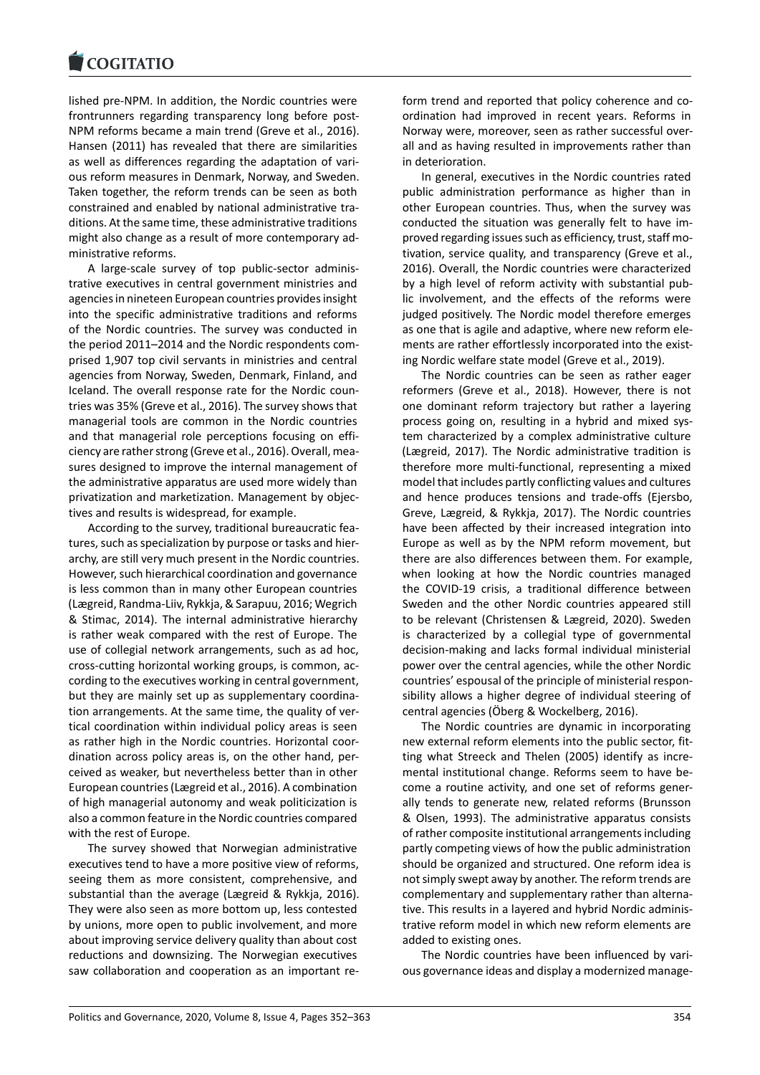lished pre-NPM. In addition, the Nordic countries were frontrunners regarding transparency long before post-NPM reforms became a main trend (Greve et al., 2016). Hansen (2011) has revealed that there are similarities as well as differences regarding the adaptation of various reform measures in Denmark, Norway, and Sweden. Taken together, the reform trends can be seen as both constrained and enabled by national administrative traditions. At the same time, these administrative traditions might also change as a result of more contemporary administrative reforms.

A large-scale survey of top public-sector administrative executives in central government ministries and agencies in nineteen European countries provides insight into the specific administrative traditions and reforms of the Nordic countries. The survey was conducted in the period 2011–2014 and the Nordic respondents comprised 1,907 top civil servants in ministries and central agencies from Norway, Sweden, Denmark, Finland, and Iceland. The overall response rate for the Nordic countries was 35% (Greve et al., 2016). The survey shows that managerial tools are common in the Nordic countries and that managerial role perceptions focusing on efficiency are rather strong (Greve et al., 2016). Overall, measures designed to improve the internal management of the administrative apparatus are used more widely than privatization and marketization. Management by objectives and results is widespread, for example.

According to the survey, traditional bureaucratic features, such as specialization by purpose or tasks and hierarchy, are still very much present in the Nordic countries. However, such hierarchical coordination and governance is less common than in many other European countries (Lægreid, Randma-Liiv, Rykkja, & Sarapuu, 2016; Wegrich & Stimac, 2014). The internal administrative hierarchy is rather weak compared with the rest of Europe. The use of collegial network arrangements, such as ad hoc, cross-cutting horizontal working groups, is common, according to the executives working in central government, but they are mainly set up as supplementary coordination arrangements. At the same time, the quality of vertical coordination within individual policy areas is seen as rather high in the Nordic countries. Horizontal coordination across policy areas is, on the other hand, perceived as weaker, but nevertheless better than in other European countries (Lægreid et al., 2016). A combination of high managerial autonomy and weak politicization is also a common feature in the Nordic countries compared with the rest of Europe.

The survey showed that Norwegian administrative executives tend to have a more positive view of reforms, seeing them as more consistent, comprehensive, and substantial than the average (Lægreid & Rykkja, 2016). They were also seen as more bottom up, less contested by unions, more open to public involvement, and more about improving service delivery quality than about cost reductions and downsizing. The Norwegian executives saw collaboration and cooperation as an important re-

form trend and reported that policy coherence and coordination had improved in recent years. Reforms in Norway were, moreover, seen as rather successful overall and as having resulted in improvements rather than in deterioration.

In general, executives in the Nordic countries rated public administration performance as higher than in other European countries. Thus, when the survey was conducted the situation was generally felt to have improved regarding issues such as efficiency, trust, staff motivation, service quality, and transparency (Greve et al., 2016). Overall, the Nordic countries were characterized by a high level of reform activity with substantial public involvement, and the effects of the reforms were judged positively. The Nordic model therefore emerges as one that is agile and adaptive, where new reform elements are rather effortlessly incorporated into the existing Nordic welfare state model (Greve et al., 2019).

The Nordic countries can be seen as rather eager reformers (Greve et al., 2018). However, there is not one dominant reform trajectory but rather a layering process going on, resulting in a hybrid and mixed system characterized by a complex administrative culture (Lægreid, 2017). The Nordic administrative tradition is therefore more multi-functional, representing a mixed model that includes partly conflicting values and cultures and hence produces tensions and trade-offs (Ejersbo, Greve, Lægreid, & Rykkja, 2017). The Nordic countries have been affected by their increased integration into Europe as well as by the NPM reform movement, but there are also differences between them. For example, when looking at how the Nordic countries managed the COVID-19 crisis, a traditional difference between Sweden and the other Nordic countries appeared still to be relevant (Christensen & Lægreid, 2020). Sweden is characterized by a collegial type of governmental decision-making and lacks formal individual ministerial power over the central agencies, while the other Nordic countries' espousal of the principle of ministerial responsibility allows a higher degree of individual steering of central agencies (Öberg & Wockelberg, 2016).

The Nordic countries are dynamic in incorporating new external reform elements into the public sector, fitting what Streeck and Thelen (2005) identify as incremental institutional change. Reforms seem to have become a routine activity, and one set of reforms generally tends to generate new, related reforms (Brunsson & Olsen, 1993). The administrative apparatus consists of rather composite institutional arrangements including partly competing views of how the public administration should be organized and structured. One reform idea is not simply swept away by another. The reform trends are complementary and supplementary rather than alternative. This results in a layered and hybrid Nordic administrative reform model in which new reform elements are added to existing ones.

The Nordic countries have been influenced by various governance ideas and display a modernized manage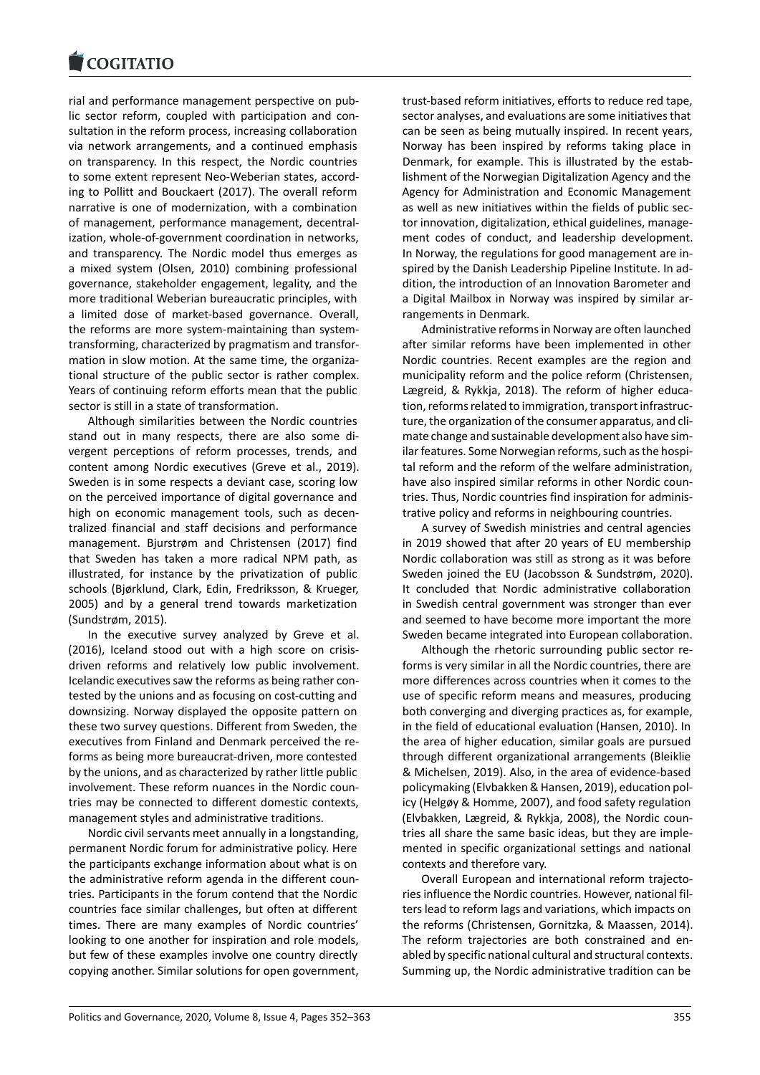rial and performance management perspective on public sector reform, coupled with participation and consultation in the reform process, increasing collaboration via network arrangements, and a continued emphasis on transparency. In this respect, the Nordic countries to some extent represent Neo-Weberian states, according to Pollitt and Bouckaert (2017). The overall reform narrative is one of modernization, with a combination of management, performance management, decentralization, whole-of-government coordination in networks, and transparency. The Nordic model thus emerges as a mixed system (Olsen, 2010) combining professional governance, stakeholder engagement, legality, and the more traditional Weberian bureaucratic principles, with a limited dose of market-based governance. Overall, the reforms are more system-maintaining than systemtransforming, characterized by pragmatism and transformation in slow motion. At the same time, the organizational structure of the public sector is rather complex. Years of continuing reform efforts mean that the public sector is still in a state of transformation.

Although similarities between the Nordic countries stand out in many respects, there are also some divergent perceptions of reform processes, trends, and content among Nordic executives (Greve et al., 2019). Sweden is in some respects a deviant case, scoring low on the perceived importance of digital governance and high on economic management tools, such as decentralized financial and staff decisions and performance management. Bjurstrøm and Christensen (2017) find that Sweden has taken a more radical NPM path, as illustrated, for instance by the privatization of public schools (Bjørklund, Clark, Edin, Fredriksson, & Krueger, 2005) and by a general trend towards marketization (Sundstrøm, 2015).

In the executive survey analyzed by Greve et al. (2016), Iceland stood out with a high score on crisisdriven reforms and relatively low public involvement. Icelandic executives saw the reforms as being rather contested by the unions and as focusing on cost-cutting and downsizing. Norway displayed the opposite pattern on these two survey questions. Different from Sweden, the executives from Finland and Denmark perceived the reforms as being more bureaucrat-driven, more contested by the unions, and as characterized by rather little public involvement. These reform nuances in the Nordic countries may be connected to different domestic contexts, management styles and administrative traditions.

Nordic civil servants meet annually in a longstanding, permanent Nordic forum for administrative policy. Here the participants exchange information about what is on the administrative reform agenda in the different countries. Participants in the forum contend that the Nordic countries face similar challenges, but often at different times. There are many examples of Nordic countries' looking to one another for inspiration and role models, but few of these examples involve one country directly copying another. Similar solutions for open government,

trust-based reform initiatives, efforts to reduce red tape, sector analyses, and evaluations are some initiatives that can be seen as being mutually inspired. In recent years, Norway has been inspired by reforms taking place in Denmark, for example. This is illustrated by the establishment of the Norwegian Digitalization Agency and the Agency for Administration and Economic Management as well as new initiatives within the fields of public sector innovation, digitalization, ethical guidelines, management codes of conduct, and leadership development. In Norway, the regulations for good management are inspired by the Danish Leadership Pipeline Institute. In addition, the introduction of an Innovation Barometer and a Digital Mailbox in Norway was inspired by similar arrangements in Denmark.

Administrative reforms in Norway are often launched after similar reforms have been implemented in other Nordic countries. Recent examples are the region and municipality reform and the police reform (Christensen, Lægreid, & Rykkja, 2018). The reform of higher education, reforms related to immigration, transport infrastructure, the organization of the consumer apparatus, and climate change and sustainable development also have similar features. Some Norwegian reforms, such as the hospital reform and the reform of the welfare administration, have also inspired similar reforms in other Nordic countries. Thus, Nordic countries find inspiration for administrative policy and reforms in neighbouring countries.

A survey of Swedish ministries and central agencies in 2019 showed that after 20 years of EU membership Nordic collaboration was still as strong as it was before Sweden joined the EU (Jacobsson & Sundstrøm, 2020). It concluded that Nordic administrative collaboration in Swedish central government was stronger than ever and seemed to have become more important the more Sweden became integrated into European collaboration.

Although the rhetoric surrounding public sector reforms is very similar in all the Nordic countries, there are more differences across countries when it comes to the use of specific reform means and measures, producing both converging and diverging practices as, for example, in the field of educational evaluation (Hansen, 2010). In the area of higher education, similar goals are pursued through different organizational arrangements (Bleiklie & Michelsen, 2019). Also, in the area of evidence-based policymaking (Elvbakken & Hansen, 2019), education policy (Helgøy & Homme, 2007), and food safety regulation (Elvbakken, Lægreid, & Rykkja, 2008), the Nordic countries all share the same basic ideas, but they are implemented in specific organizational settings and national contexts and therefore vary.

Overall European and international reform trajectories influence the Nordic countries. However, national filters lead to reform lags and variations, which impacts on the reforms (Christensen, Gornitzka, & Maassen, 2014). The reform trajectories are both constrained and enabled by specific national cultural and structural contexts. Summing up, the Nordic administrative tradition can be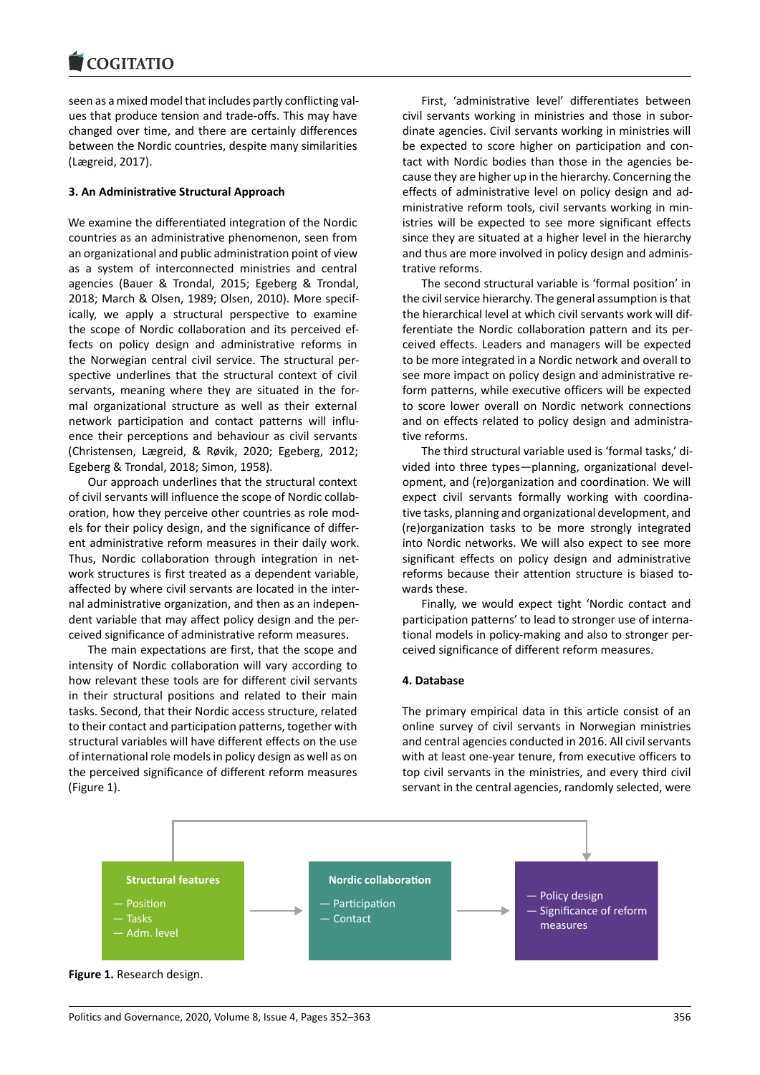seen as a mixed model that includes partly conflicting values that produce tension and trade-offs. This may have changed over time, and there are certainly differences between the Nordic countries, despite many similarities (Lægreid, 2017).

#### **3. An Administrative Structural Approach**

We examine the differentiated integration of the Nordic countries as an administrative phenomenon, seen from an organizational and public administration point of view as a system of interconnected ministries and central agencies (Bauer & Trondal, 2015; Egeberg & Trondal, 2018; March & Olsen, 1989; Olsen, 2010). More specifically, we apply a structural perspective to examine the scope of Nordic collaboration and its perceived effects on policy design and administrative reforms in the Norwegian central civil service. The structural perspective underlines that the structural context of civil servants, meaning where they are situated in the formal organizational structure as well as their external network participation and contact patterns will influence their perceptions and behaviour as civil servants (Christensen, Lægreid, & Røvik, 2020; Egeberg, 2012; Egeberg & Trondal, 2018; Simon, 1958).

Our approach underlines that the structural context of civil servants will influence the scope of Nordic collaboration, how they perceive other countries as role models for their policy design, and the significance of different administrative reform measures in their daily work. Thus, Nordic collaboration through integration in network structures is first treated as a dependent variable, affected by where civil servants are located in the internal administrative organization, and then as an independent variable that may affect policy design and the perceived significance of administrative reform measures.

The main expectations are first, that the scope and intensity of Nordic collaboration will vary according to how relevant these tools are for different civil servants in their structural positions and related to their main tasks. Second, that their Nordic access structure, related to their contact and participation patterns, together with structural variables will have different effects on the use of international role models in policy design as well as on the perceived significance of different reform measures (Figure 1).

First, 'administrative level' differentiates between civil servants working in ministries and those in subordinate agencies. Civil servants working in ministries will be expected to score higher on participation and contact with Nordic bodies than those in the agencies because they are higher up in the hierarchy. Concerning the effects of administrative level on policy design and administrative reform tools, civil servants working in ministries will be expected to see more significant effects since they are situated at a higher level in the hierarchy and thus are more involved in policy design and administrative reforms.

The second structural variable is 'formal position' in the civil service hierarchy. The general assumption is that the hierarchical level at which civil servants work will differentiate the Nordic collaboration pattern and its perceived effects. Leaders and managers will be expected to be more integrated in a Nordic network and overall to see more impact on policy design and administrative reform patterns, while executive officers will be expected to score lower overall on Nordic network connections and on effects related to policy design and administrative reforms.

The third structural variable used is 'formal tasks,' divided into three types—planning, organizational development, and (re)organization and coordination. We will expect civil servants formally working with coordinative tasks, planning and organizational development, and (re)organization tasks to be more strongly integrated into Nordic networks. We will also expect to see more significant effects on policy design and administrative reforms because their attention structure is biased towards these.

Finally, we would expect tight 'Nordic contact and participation patterns' to lead to stronger use of international models in policy-making and also to stronger perceived significance of different reform measures.

#### **4. Database**

The primary empirical data in this article consist of an online survey of civil servants in Norwegian ministries and central agencies conducted in 2016. All civil servants with at least one-year tenure, from executive officers to top civil servants in the ministries, and every third civil servant in the central agencies, randomly selected, were



**Figure 1.** Research design.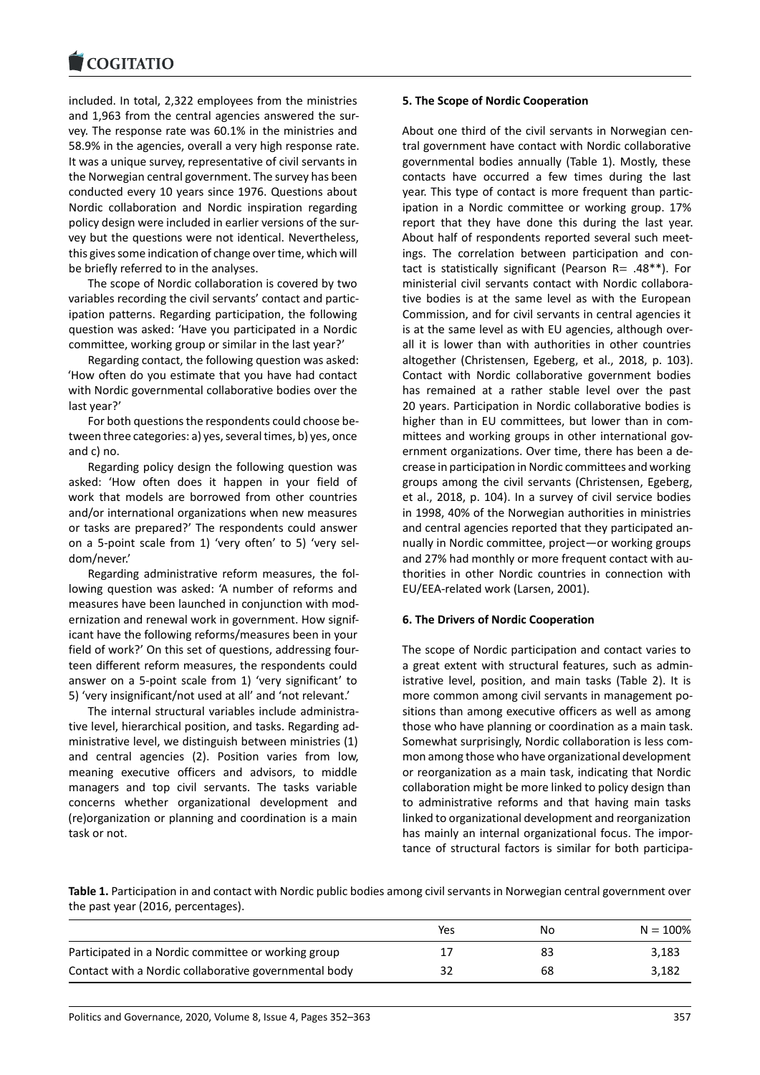included. In total, 2,322 employees from the ministries and 1,963 from the central agencies answered the survey. The response rate was 60.1% in the ministries and 58.9% in the agencies, overall a very high response rate. It was a unique survey, representative of civil servants in the Norwegian central government. The survey has been conducted every 10 years since 1976. Questions about Nordic collaboration and Nordic inspiration regarding policy design were included in earlier versions of the survey but the questions were not identical. Nevertheless, this gives some indication of change over time, which will be briefly referred to in the analyses.

The scope of Nordic collaboration is covered by two variables recording the civil servants' contact and participation patterns. Regarding participation, the following question was asked: 'Have you participated in a Nordic committee, working group or similar in the last year?'

Regarding contact, the following question was asked: 'How often do you estimate that you have had contact with Nordic governmental collaborative bodies over the last year?'

For both questions the respondents could choose between three categories: a) yes, several times, b) yes, once and c) no.

Regarding policy design the following question was asked: 'How often does it happen in your field of work that models are borrowed from other countries and/or international organizations when new measures or tasks are prepared?' The respondents could answer on a 5-point scale from 1) 'very often' to 5) 'very seldom/never.'

Regarding administrative reform measures, the following question was asked: 'A number of reforms and measures have been launched in conjunction with modernization and renewal work in government. How significant have the following reforms/measures been in your field of work?' On this set of questions, addressing fourteen different reform measures, the respondents could answer on a 5-point scale from 1) 'very significant' to 5) 'very insignificant/not used at all' and 'not relevant.'

The internal structural variables include administrative level, hierarchical position, and tasks. Regarding administrative level, we distinguish between ministries (1) and central agencies (2). Position varies from low, meaning executive officers and advisors, to middle managers and top civil servants. The tasks variable concerns whether organizational development and (re)organization or planning and coordination is a main task or not.

## **5. The Scope of Nordic Cooperation**

About one third of the civil servants in Norwegian central government have contact with Nordic collaborative governmental bodies annually (Table 1). Mostly, these contacts have occurred a few times during the last year. This type of contact is more frequent than participation in a Nordic committee or working group. 17% report that they have done this during the last year. About half of respondents reported several such meetings. The correlation between participation and contact is statistically significant (Pearson  $R = .48**$ ). For ministerial civil servants contact with Nordic collaborative bodies is at the same level as with the European Commission, and for civil servants in central agencies it is at the same level as with EU agencies, although overall it is lower than with authorities in other countries altogether (Christensen, Egeberg, et al., 2018, p. 103). Contact with Nordic collaborative government bodies has remained at a rather stable level over the past 20 years. Participation in Nordic collaborative bodies is higher than in EU committees, but lower than in committees and working groups in other international government organizations. Over time, there has been a decrease in participation in Nordic committees and working groups among the civil servants (Christensen, Egeberg, et al., 2018, p. 104). In a survey of civil service bodies in 1998, 40% of the Norwegian authorities in ministries and central agencies reported that they participated annually in Nordic committee, project—or working groups and 27% had monthly or more frequent contact with authorities in other Nordic countries in connection with EU/EEA-related work (Larsen, 2001).

#### **6. The Drivers of Nordic Cooperation**

The scope of Nordic participation and contact varies to a great extent with structural features, such as administrative level, position, and main tasks (Table 2). It is more common among civil servants in management positions than among executive officers as well as among those who have planning or coordination as a main task. Somewhat surprisingly, Nordic collaboration is less common among those who have organizational development or reorganization as a main task, indicating that Nordic collaboration might be more linked to policy design than to administrative reforms and that having main tasks linked to organizational development and reorganization has mainly an internal organizational focus. The importance of structural factors is similar for both participa-

**Table 1.** Participation in and contact with Nordic public bodies among civil servants in Norwegian central government over the past year (2016, percentages).

|                                                       | Yes | Nο | $N = 100%$ |
|-------------------------------------------------------|-----|----|------------|
| Participated in a Nordic committee or working group   |     | 83 | 3,183      |
| Contact with a Nordic collaborative governmental body |     | 68 | 3.182      |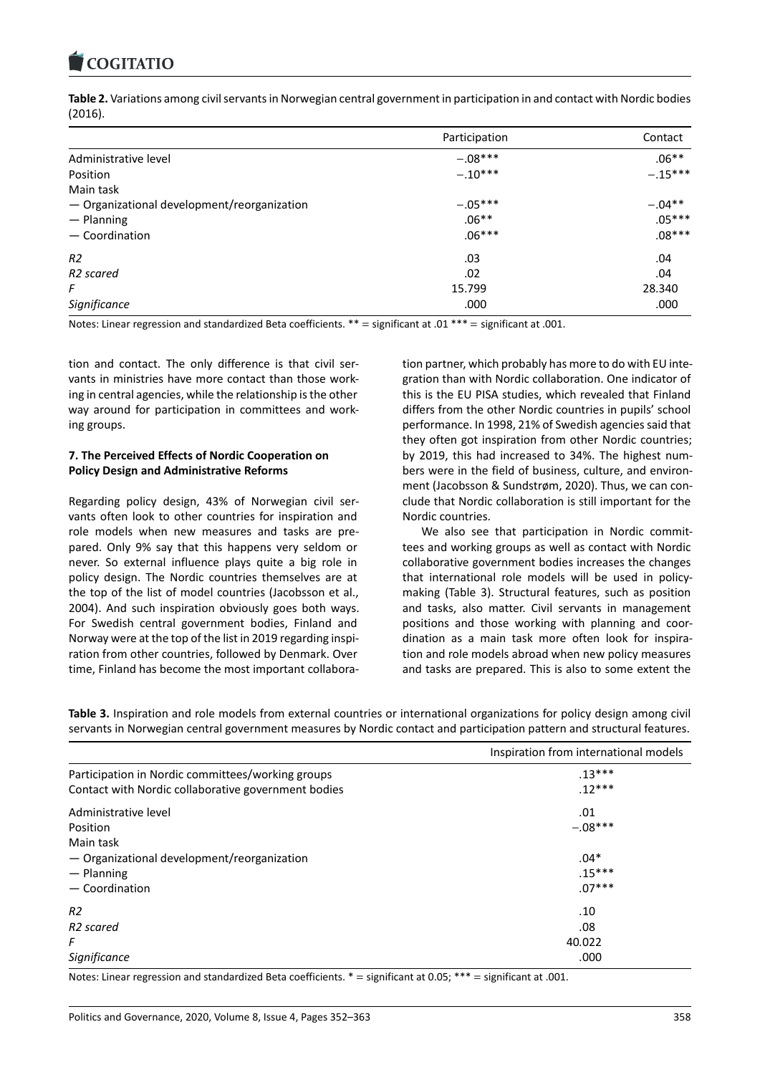

**Table 2.** Variations among civil servants in Norwegian central government in participation in and contact with Nordic bodies (2016).

|                                             | Participation | Contact   |
|---------------------------------------------|---------------|-----------|
| Administrative level                        | $-.08***$     | $.06**$   |
| Position                                    | $-.10***$     | $-.15***$ |
| Main task                                   |               |           |
| - Organizational development/reorganization | $-.05***$     | $-.04**$  |
| - Planning                                  | $.06**$       | $.05***$  |
| - Coordination                              | $.06***$      | $.08***$  |
| R2                                          | .03           | .04       |
| R <sub>2</sub> scared                       | .02           | .04       |
| F                                           | 15.799        | 28.340    |
| Significance                                | .000          | .000      |

Notes: Linear regression and standardized Beta coefficients. \*\* = significant at .01 \*\*\* = significant at .001.

tion and contact. The only difference is that civil servants in ministries have more contact than those working in central agencies, while the relationship is the other way around for participation in committees and working groups.

#### **7. The Perceived Effects of Nordic Cooperation on Policy Design and Administrative Reforms**

Regarding policy design, 43% of Norwegian civil servants often look to other countries for inspiration and role models when new measures and tasks are prepared. Only 9% say that this happens very seldom or never. So external influence plays quite a big role in policy design. The Nordic countries themselves are at the top of the list of model countries (Jacobsson et al., 2004). And such inspiration obviously goes both ways. For Swedish central government bodies, Finland and Norway were at the top of the list in 2019 regarding inspiration from other countries, followed by Denmark. Over time, Finland has become the most important collaboration partner, which probably has more to do with EU integration than with Nordic collaboration. One indicator of this is the EU PISA studies, which revealed that Finland differs from the other Nordic countries in pupils' school performance. In 1998, 21% of Swedish agencies said that they often got inspiration from other Nordic countries; by 2019, this had increased to 34%. The highest numbers were in the field of business, culture, and environment (Jacobsson & Sundstrøm, 2020). Thus, we can conclude that Nordic collaboration is still important for the Nordic countries.

We also see that participation in Nordic committees and working groups as well as contact with Nordic collaborative government bodies increases the changes that international role models will be used in policymaking (Table 3). Structural features, such as position and tasks, also matter. Civil servants in management positions and those working with planning and coordination as a main task more often look for inspiration and role models abroad when new policy measures and tasks are prepared. This is also to some extent the

**Table 3.** Inspiration and role models from external countries or international organizations for policy design among civil servants in Norwegian central government measures by Nordic contact and participation pattern and structural features.

|                                                     | Inspiration from international models |
|-----------------------------------------------------|---------------------------------------|
| Participation in Nordic committees/working groups   | $.13***$                              |
| Contact with Nordic collaborative government bodies | $.12***$                              |
| Administrative level                                | .01                                   |
| Position                                            | $-.08***$                             |
| Main task                                           |                                       |
| - Organizational development/reorganization         | $.04*$                                |
| $-$ Planning                                        | $.15***$                              |
| $-$ Coordination                                    | $.07***$                              |
| R <sub>2</sub>                                      | .10                                   |
| R <sub>2</sub> scared                               | .08                                   |
| F                                                   | 40.022                                |
| Significance                                        | .000                                  |

Notes: Linear regression and standardized Beta coefficients. \* = significant at 0.05; \*\*\* = significant at .001.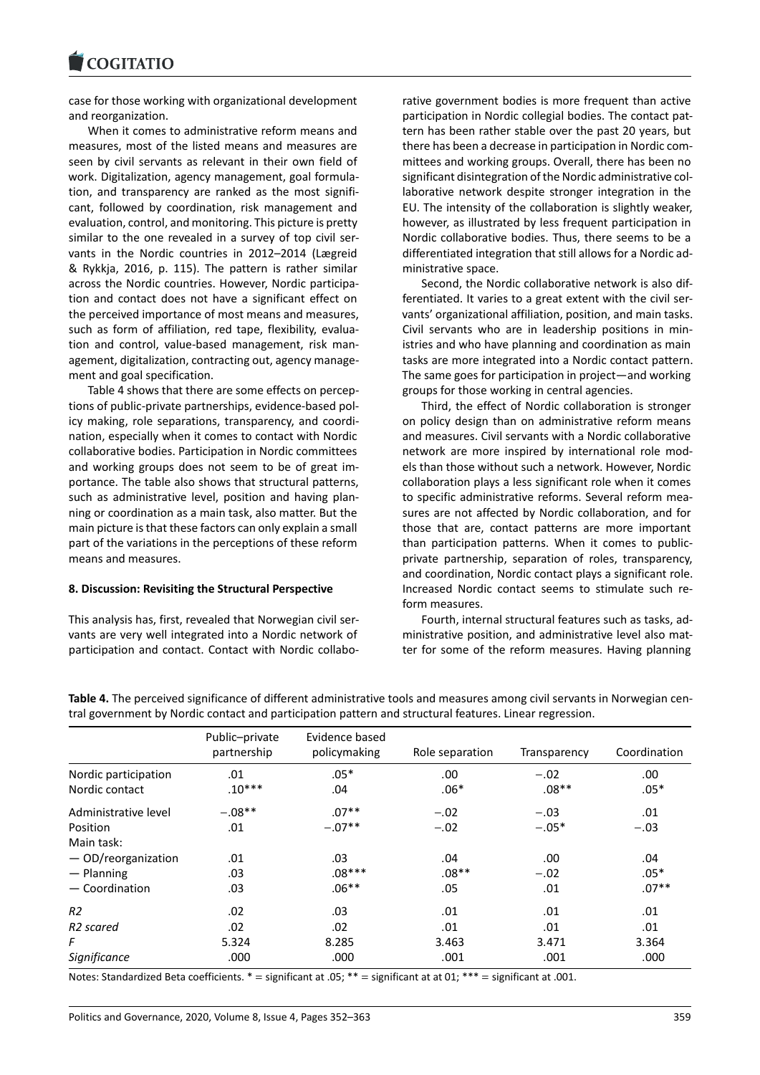## **COGITATIO**

case for those working with organizational development and reorganization.

When it comes to administrative reform means and measures, most of the listed means and measures are seen by civil servants as relevant in their own field of work. Digitalization, agency management, goal formulation, and transparency are ranked as the most significant, followed by coordination, risk management and evaluation, control, and monitoring. This picture is pretty similar to the one revealed in a survey of top civil servants in the Nordic countries in 2012–2014 (Lægreid & Rykkja, 2016, p. 115). The pattern is rather similar across the Nordic countries. However, Nordic participation and contact does not have a significant effect on the perceived importance of most means and measures, such as form of affiliation, red tape, flexibility, evaluation and control, value-based management, risk management, digitalization, contracting out, agency management and goal specification.

Table 4 shows that there are some effects on perceptions of public-private partnerships, evidence-based policy making, role separations, transparency, and coordination, especially when it comes to contact with Nordic collaborative bodies. Participation in Nordic committees and working groups does not seem to be of great importance. The table also shows that structural patterns, such as administrative level, position and having planning or coordination as a main task, also matter. But the main picture is that these factors can only explain a small part of the variations in the perceptions of these reform means and measures.

#### **8. Discussion: Revisiting the Structural Perspective**

This analysis has, first, revealed that Norwegian civil servants are very well integrated into a Nordic network of participation and contact. Contact with Nordic collabo-

rative government bodies is more frequent than active participation in Nordic collegial bodies. The contact pattern has been rather stable over the past 20 years, but there has been a decrease in participation in Nordic committees and working groups. Overall, there has been no significant disintegration of the Nordic administrative collaborative network despite stronger integration in the EU. The intensity of the collaboration is slightly weaker, however, as illustrated by less frequent participation in Nordic collaborative bodies. Thus, there seems to be a differentiated integration that still allows for a Nordic administrative space.

Second, the Nordic collaborative network is also differentiated. It varies to a great extent with the civil servants' organizational affiliation, position, and main tasks. Civil servants who are in leadership positions in ministries and who have planning and coordination as main tasks are more integrated into a Nordic contact pattern. The same goes for participation in project—and working groups for those working in central agencies.

Third, the effect of Nordic collaboration is stronger on policy design than on administrative reform means and measures. Civil servants with a Nordic collaborative network are more inspired by international role models than those without such a network. However, Nordic collaboration plays a less significant role when it comes to specific administrative reforms. Several reform measures are not affected by Nordic collaboration, and for those that are, contact patterns are more important than participation patterns. When it comes to publicprivate partnership, separation of roles, transparency, and coordination, Nordic contact plays a significant role. Increased Nordic contact seems to stimulate such reform measures.

Fourth, internal structural features such as tasks, administrative position, and administrative level also matter for some of the reform measures. Having planning

|                       | Public-private<br>partnership | Evidence based<br>policymaking | Role separation | Transparency | Coordination |
|-----------------------|-------------------------------|--------------------------------|-----------------|--------------|--------------|
| Nordic participation  | .01                           | $.05*$                         | .00             | $-.02$       | .00          |
| Nordic contact        | $.10***$                      | .04                            | $.06*$          | $.08**$      | $.05*$       |
| Administrative level  | $-.08**$                      | $.07**$                        | $-.02$          | $-.03$       | .01          |
| Position              | .01                           | $-.07**$                       | $-.02$          | $-.05*$      | $-.03$       |
| Main task:            |                               |                                |                 |              |              |
| $-$ OD/reorganization | .01                           | .03                            | .04             | .00          | .04          |
| $-$ Planning          | .03                           | $.08***$                       | $.08**$         | $-.02$       | $.05*$       |
| $-$ Coordination      | .03                           | $.06**$                        | .05             | .01          | $.07**$      |
| R2                    | .02                           | .03                            | .01             | .01          | .01          |
| R <sub>2</sub> scared | .02                           | .02                            | .01             | .01          | .01          |
| F                     | 5.324                         | 8.285                          | 3.463           | 3.471        | 3.364        |
| Significance          | .000                          | .000                           | .001            | .001         | .000         |

**Table 4.** The perceived significance of different administrative tools and measures among civil servants in Norwegian central government by Nordic contact and participation pattern and structural features. Linear regression.

Notes: Standardized Beta coefficients. \* = significant at .05; \*\* = significant at at 01; \*\*\* = significant at .001.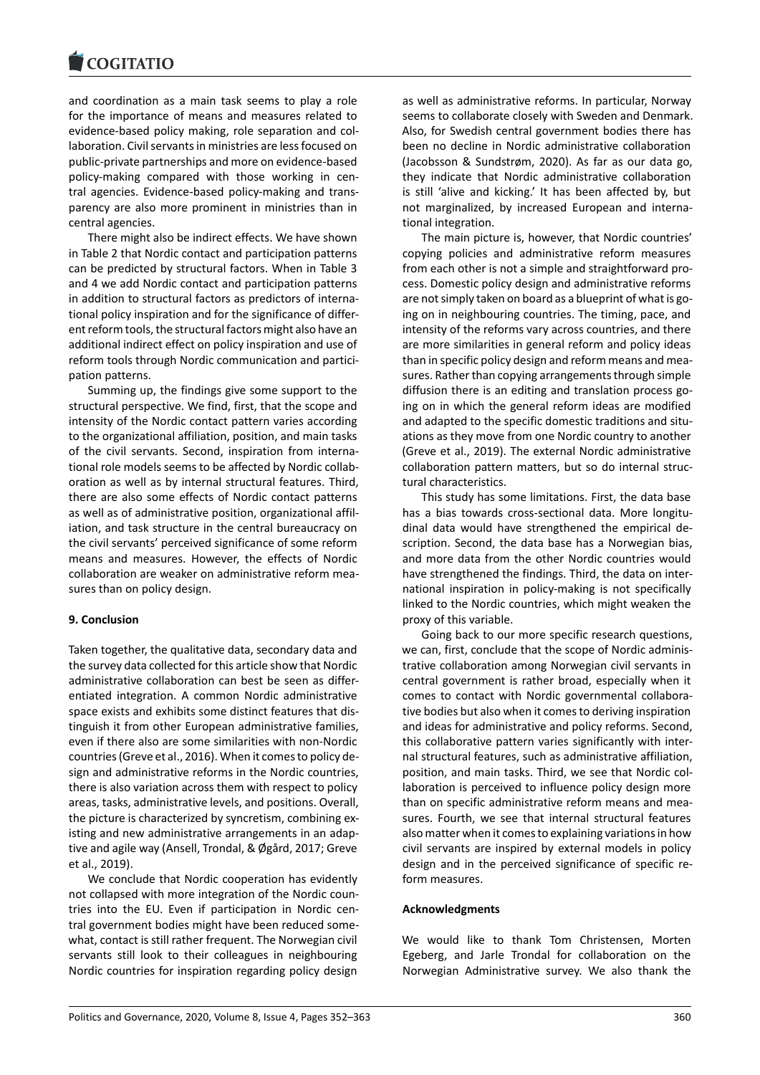and coordination as a main task seems to play a role for the importance of means and measures related to evidence-based policy making, role separation and collaboration. Civil servants in ministries are less focused on public-private partnerships and more on evidence-based policy-making compared with those working in central agencies. Evidence-based policy-making and transparency are also more prominent in ministries than in central agencies.

There might also be indirect effects. We have shown in Table 2 that Nordic contact and participation patterns can be predicted by structural factors. When in Table 3 and 4 we add Nordic contact and participation patterns in addition to structural factors as predictors of international policy inspiration and for the significance of different reform tools, the structural factors might also have an additional indirect effect on policy inspiration and use of reform tools through Nordic communication and participation patterns.

Summing up, the findings give some support to the structural perspective. We find, first, that the scope and intensity of the Nordic contact pattern varies according to the organizational affiliation, position, and main tasks of the civil servants. Second, inspiration from international role models seems to be affected by Nordic collaboration as well as by internal structural features. Third, there are also some effects of Nordic contact patterns as well as of administrative position, organizational affiliation, and task structure in the central bureaucracy on the civil servants' perceived significance of some reform means and measures. However, the effects of Nordic collaboration are weaker on administrative reform measures than on policy design.

#### **9. Conclusion**

Taken together, the qualitative data, secondary data and the survey data collected for this article show that Nordic administrative collaboration can best be seen as differentiated integration. A common Nordic administrative space exists and exhibits some distinct features that distinguish it from other European administrative families, even if there also are some similarities with non-Nordic countries (Greve et al., 2016). When it comes to policy design and administrative reforms in the Nordic countries, there is also variation across them with respect to policy areas, tasks, administrative levels, and positions. Overall, the picture is characterized by syncretism, combining existing and new administrative arrangements in an adaptive and agile way (Ansell, Trondal, & Øgård, 2017; Greve et al., 2019).

We conclude that Nordic cooperation has evidently not collapsed with more integration of the Nordic countries into the EU. Even if participation in Nordic central government bodies might have been reduced somewhat, contact is still rather frequent. The Norwegian civil servants still look to their colleagues in neighbouring Nordic countries for inspiration regarding policy design

as well as administrative reforms. In particular, Norway seems to collaborate closely with Sweden and Denmark. Also, for Swedish central government bodies there has been no decline in Nordic administrative collaboration (Jacobsson & Sundstrøm, 2020). As far as our data go, they indicate that Nordic administrative collaboration is still 'alive and kicking.' It has been affected by, but not marginalized, by increased European and international integration.

The main picture is, however, that Nordic countries' copying policies and administrative reform measures from each other is not a simple and straightforward process. Domestic policy design and administrative reforms are not simply taken on board as a blueprint of what is going on in neighbouring countries. The timing, pace, and intensity of the reforms vary across countries, and there are more similarities in general reform and policy ideas than in specific policy design and reform means and measures. Rather than copying arrangements through simple diffusion there is an editing and translation process going on in which the general reform ideas are modified and adapted to the specific domestic traditions and situations as they move from one Nordic country to another (Greve et al., 2019). The external Nordic administrative collaboration pattern matters, but so do internal structural characteristics.

This study has some limitations. First, the data base has a bias towards cross-sectional data. More longitudinal data would have strengthened the empirical description. Second, the data base has a Norwegian bias, and more data from the other Nordic countries would have strengthened the findings. Third, the data on international inspiration in policy-making is not specifically linked to the Nordic countries, which might weaken the proxy of this variable.

Going back to our more specific research questions, we can, first, conclude that the scope of Nordic administrative collaboration among Norwegian civil servants in central government is rather broad, especially when it comes to contact with Nordic governmental collaborative bodies but also when it comes to deriving inspiration and ideas for administrative and policy reforms. Second, this collaborative pattern varies significantly with internal structural features, such as administrative affiliation, position, and main tasks. Third, we see that Nordic collaboration is perceived to influence policy design more than on specific administrative reform means and measures. Fourth, we see that internal structural features also matter when it comes to explaining variations in how civil servants are inspired by external models in policy design and in the perceived significance of specific reform measures.

#### **Acknowledgments**

We would like to thank Tom Christensen, Morten Egeberg, and Jarle Trondal for collaboration on the Norwegian Administrative survey. We also thank the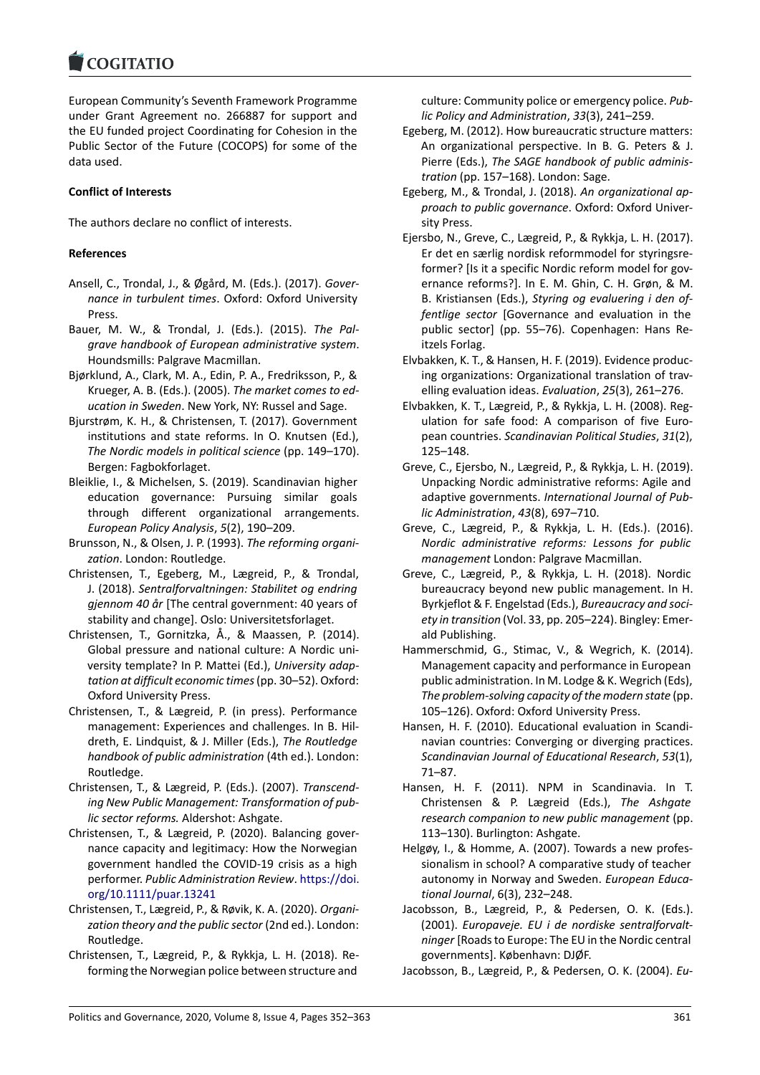**COGITATIO** 

European Community's Seventh Framework Programme under Grant Agreement no. 266887 for support and the EU funded project Coordinating for Cohesion in the Public Sector of the Future (COCOPS) for some of the data used.

## **Conflict of Interests**

The authors declare no conflict of interests.

## **References**

- Ansell, C., Trondal, J., & Øgård, M. (Eds.). (2017). *Governance in turbulent times*. Oxford: Oxford University Press.
- Bauer, M. W., & Trondal, J. (Eds.). (2015). *The Palgrave handbook of European administrative system*. Houndsmills: Palgrave Macmillan.
- Bjørklund, A., Clark, M. A., Edin, P. A., Fredriksson, P., & Krueger, A. B. (Eds.). (2005). *The market comes to education in Sweden*. New York, NY: Russel and Sage.
- Bjurstrøm, K. H., & Christensen, T. (2017). Government institutions and state reforms. In O. Knutsen (Ed.), *The Nordic models in political science* (pp. 149–170). Bergen: Fagbokforlaget.
- Bleiklie, I., & Michelsen, S. (2019). Scandinavian higher education governance: Pursuing similar goals through different organizational arrangements. *European Policy Analysis*, *5*(2), 190–209.
- Brunsson, N., & Olsen, J. P. (1993). *The reforming organization*. London: Routledge.
- Christensen, T., Egeberg, M., Lægreid, P., & Trondal, J. (2018). *Sentralforvaltningen: Stabilitet og endring gjennom 40 år* [The central government: 40 years of stability and change]. Oslo: Universitetsforlaget.
- Christensen, T., Gornitzka, Å., & Maassen, P. (2014). Global pressure and national culture: A Nordic university template? In P. Mattei (Ed.), *University adaptation at difficult economic times*(pp. 30–52). Oxford: Oxford University Press.
- Christensen, T., & Lægreid, P. (in press). Performance management: Experiences and challenges. In B. Hildreth, E. Lindquist, & J. Miller (Eds.), *The Routledge handbook of public administration* (4th ed.). London: Routledge.
- Christensen, T., & Lægreid, P. (Eds.). (2007). *Transcending New Public Management: Transformation of public sector reforms.* Aldershot: Ashgate.
- Christensen, T., & Lægreid, P. (2020). Balancing governance capacity and legitimacy: How the Norwegian government handled the COVID-19 crisis as a high performer. *Public Administration Review*. [https://doi.](https://doi.org/10.1111/puar.13241) [org/10.1111/puar.13241](https://doi.org/10.1111/puar.13241)
- Christensen, T., Lægreid, P., & Røvik, K. A. (2020). *Organization theory and the public sector* (2nd ed.). London: Routledge.
- Christensen, T., Lægreid, P., & Rykkja, L. H. (2018). Reforming the Norwegian police between structure and

culture: Community police or emergency police. *Public Policy and Administration*, *33*(3), 241–259.

- Egeberg, M. (2012). How bureaucratic structure matters: An organizational perspective. In B. G. Peters & J. Pierre (Eds.), *The SAGE handbook of public administration* (pp. 157–168). London: Sage.
- Egeberg, M., & Trondal, J. (2018). *An organizational approach to public governance*. Oxford: Oxford University Press.
- Ejersbo, N., Greve, C., Lægreid, P., & Rykkja, L. H. (2017). Er det en særlig nordisk reformmodel for styringsreformer? [Is it a specific Nordic reform model for governance reforms?]. In E. M. Ghin, C. H. Grøn, & M. B. Kristiansen (Eds.), *Styring og evaluering i den offentlige sector* [Governance and evaluation in the public sector] (pp. 55–76). Copenhagen: Hans Reitzels Forlag.
- Elvbakken, K. T., & Hansen, H. F. (2019). Evidence producing organizations: Organizational translation of travelling evaluation ideas. *Evaluation*, *25*(3), 261–276.
- Elvbakken, K. T., Lægreid, P., & Rykkja, L. H. (2008). Regulation for safe food: A comparison of five European countries. *Scandinavian Political Studies*, *31*(2), 125–148.
- Greve, C., Ejersbo, N., Lægreid, P., & Rykkja, L. H. (2019). Unpacking Nordic administrative reforms: Agile and adaptive governments. *International Journal of Public Administration*, *43*(8), 697–710.
- Greve, C., Lægreid, P., & Rykkja, L. H. (Eds.). (2016). *Nordic administrative reforms: Lessons for public management* London: Palgrave Macmillan.
- Greve, C., Lægreid, P., & Rykkja, L. H. (2018). Nordic bureaucracy beyond new public management. In H. Byrkjeflot & F. Engelstad (Eds.), *Bureaucracy and society in transition* (Vol. 33, pp. 205–224). Bingley: Emerald Publishing.
- Hammerschmid, G., Stimac, V., & Wegrich, K. (2014). Management capacity and performance in European public administration. In M. Lodge & K. Wegrich (Eds), *The problem-solving capacity of the modern state* (pp. 105–126). Oxford: Oxford University Press.
- Hansen, H. F. (2010). Educational evaluation in Scandinavian countries: Converging or diverging practices. *Scandinavian Journal of Educational Research*, *53*(1), 71–87.
- Hansen, H. F. (2011). NPM in Scandinavia. In T. Christensen & P. Lægreid (Eds.), *The Ashgate research companion to new public management* (pp. 113–130). Burlington: Ashgate.
- Helgøy, I., & Homme, A. (2007). Towards a new professionalism in school? A comparative study of teacher autonomy in Norway and Sweden. *European Educational Journal*, 6(3), 232–248.
- Jacobsson, B., Lægreid, P., & Pedersen, O. K. (Eds.). (2001). *Europaveje. EU i de nordiske sentralforvaltninger* [Roads to Europe: The EU in the Nordic central governments]. København: DJØF.
- Jacobsson, B., Lægreid, P., & Pedersen, O. K. (2004). *Eu-*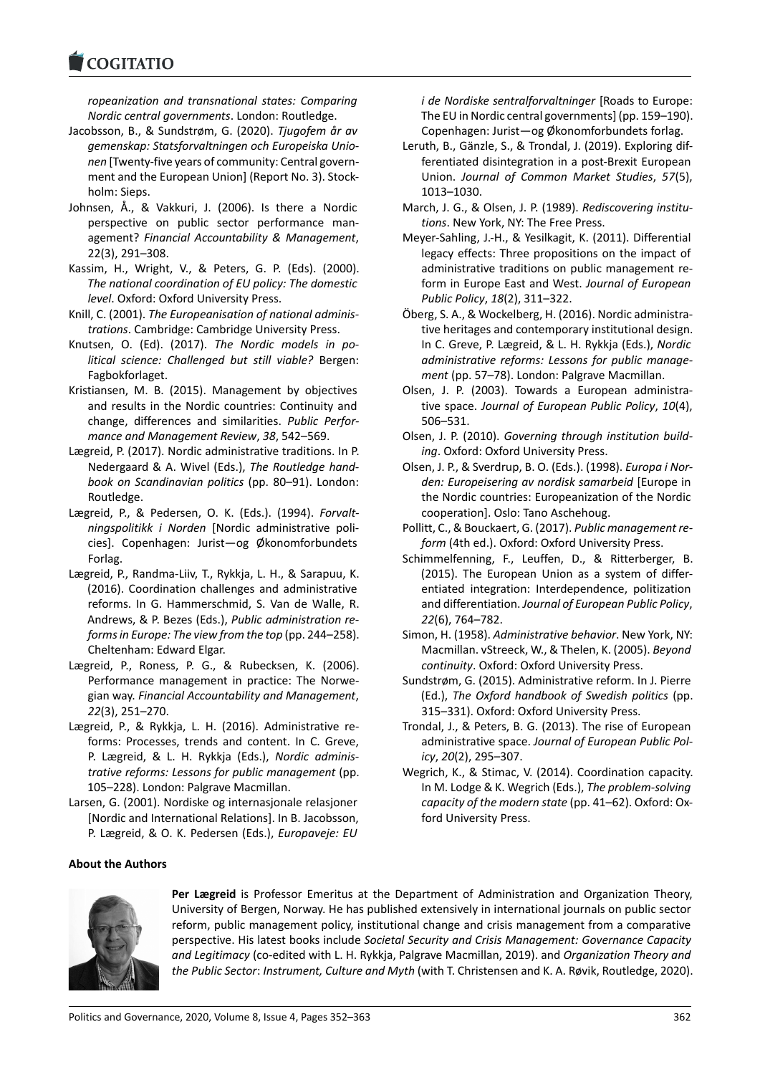**COGITATIO** 

*ropeanization and transnational states: Comparing Nordic central governments*. London: Routledge.

- Jacobsson, B., & Sundstrøm, G. (2020). *Tjugofem år av gemenskap: Statsforvaltningen och Europeiska Unionen* [Twenty-five years of community: Central government and the European Union] (Report No. 3). Stockholm: Sieps.
- Johnsen, Å., & Vakkuri, J. (2006). Is there a Nordic perspective on public sector performance management? *Financial Accountability & Management*, 22(3), 291–308.
- Kassim, H., Wright, V., & Peters, G. P. (Eds). (2000). *The national coordination of EU policy: The domestic level*. Oxford: Oxford University Press.
- Knill, C. (2001). *The Europeanisation of national administrations*. Cambridge: Cambridge University Press.
- Knutsen, O. (Ed). (2017). *The Nordic models in political science: Challenged but still viable?* Bergen: Fagbokforlaget.
- Kristiansen, M. B. (2015). Management by objectives and results in the Nordic countries: Continuity and change, differences and similarities. *Public Performance and Management Review*, *38*, 542–569.
- Lægreid, P. (2017). Nordic administrative traditions. In P. Nedergaard & A. Wivel (Eds.), *The Routledge handbook on Scandinavian politics* (pp. 80–91). London: Routledge.
- Lægreid, P., & Pedersen, O. K. (Eds.). (1994). *Forvaltningspolitikk i Norden* [Nordic administrative policies]. Copenhagen: Jurist—og Økonomforbundets Forlag.
- Lægreid, P., Randma-Liiv, T., Rykkja, L. H., & Sarapuu, K. (2016). Coordination challenges and administrative reforms. In G. Hammerschmid, S. Van de Walle, R. Andrews, & P. Bezes (Eds.), *Public administration reforms in Europe: The view from the top* (pp. 244–258). Cheltenham: Edward Elgar.
- Lægreid, P., Roness, P. G., & Rubecksen, K. (2006). Performance management in practice: The Norwegian way. *Financial Accountability and Management*, *22*(3), 251–270.
- Lægreid, P., & Rykkja, L. H. (2016). Administrative reforms: Processes, trends and content. In C. Greve, P. Lægreid, & L. H. Rykkja (Eds.), *Nordic administrative reforms: Lessons for public management* (pp. 105–228). London: Palgrave Macmillan.
- Larsen, G. (2001). Nordiske og internasjonale relasjoner [Nordic and International Relations]. In B. Jacobsson, P. Lægreid, & O. K. Pedersen (Eds.), *Europaveje: EU*

#### **About the Authors**



**Per Lægreid** is Professor Emeritus at the Department of Administration and Organization Theory, University of Bergen, Norway. He has published extensively in international journals on public sector reform, public management policy, institutional change and crisis management from a comparative perspective. His latest books include *Societal Security and Crisis Management: Governance Capacity and Legitimacy* (co-edited with L. H. Rykkja, Palgrave Macmillan, 2019). and *Organization Theory and the Public Sector*: *Instrument, Culture and Myth* (with T. Christensen and K. A. Røvik, Routledge, 2020).

*i de Nordiske sentralforvaltninger* [Roads to Europe: The EU in Nordic central governments] (pp. 159–190). Copenhagen: Jurist—og Økonomforbundets forlag.

- Leruth, B., Gӓnzle, S., & Trondal, J. (2019). Exploring differentiated disintegration in a post-Brexit European Union. *Journal of Common Market Studies*, *57*(5), 1013–1030.
- March, J. G., & Olsen, J. P. (1989). *Rediscovering institutions*. New York, NY: The Free Press.
- Meyer-Sahling, J.-H., & Yesilkagit, K. (2011). Differential legacy effects: Three propositions on the impact of administrative traditions on public management reform in Europe East and West. *Journal of European Public Policy*, *18*(2), 311–322.
- Öberg, S. A., & Wockelberg, H. (2016). Nordic administrative heritages and contemporary institutional design. In C. Greve, P. Lægreid, & L. H. Rykkja (Eds.), *Nordic administrative reforms: Lessons for public management* (pp. 57–78). London: Palgrave Macmillan.
- Olsen, J. P. (2003). Towards a European administrative space. *Journal of European Public Policy*, *10*(4), 506–531.
- Olsen, J. P. (2010). *Governing through institution building*. Oxford: Oxford University Press.
- Olsen, J. P., & Sverdrup, B. O. (Eds.). (1998). *Europa i Norden: Europeisering av nordisk samarbeid* [Europe in the Nordic countries: Europeanization of the Nordic cooperation]. Oslo: Tano Aschehoug.
- Pollitt, C., & Bouckaert, G. (2017). *Public management reform* (4th ed.). Oxford: Oxford University Press.
- Schimmelfenning, F., Leuffen, D., & Ritterberger, B. (2015). The European Union as a system of differentiated integration: Interdependence, politization and differentiation. *Journal of European Public Policy*, *22*(6), 764–782.
- Simon, H. (1958). *Administrative behavior*. New York, NY: Macmillan. vStreeck, W., & Thelen, K. (2005). *Beyond continuity*. Oxford: Oxford University Press.
- Sundstrøm, G. (2015). Administrative reform. In J. Pierre (Ed.), *The Oxford handbook of Swedish politics* (pp. 315–331). Oxford: Oxford University Press.
- Trondal, J., & Peters, B. G. (2013). The rise of European administrative space. *Journal of European Public Policy*, *20*(2), 295–307.
- Wegrich, K., & Stimac, V. (2014). Coordination capacity. In M. Lodge & K. Wegrich (Eds.), *The problem-solving capacity of the modern state* (pp. 41–62). Oxford: Oxford University Press.